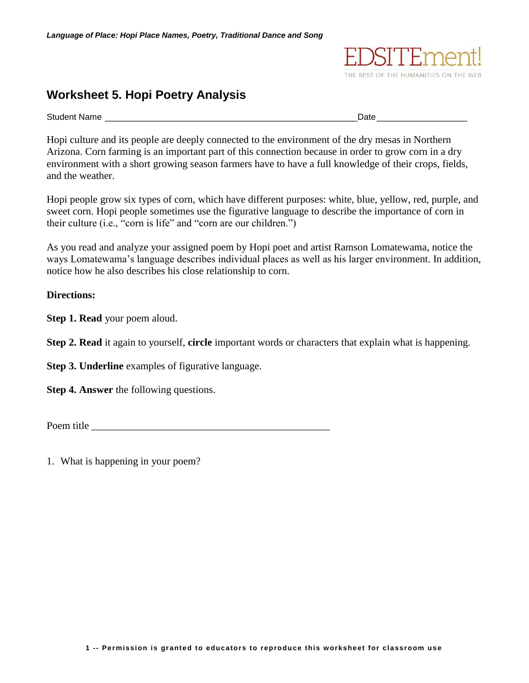## **Worksheet 5. Hopi Poetry Analysis**

Student Name **Date Contract Contract Contract Contract Contract Contract Contract Contract Contract Contract Contract Contract Contract Contract Contract Contract Contract Contract Contract Contract Contract Contract Con** 

Hopi culture and its people are deeply connected to the environment of the dry mesas in Northern Arizona. Corn farming is an important part of this connection because in order to grow corn in a dry environment with a short growing season farmers have to have a full knowledge of their crops, fields, and the weather.

Hopi people grow six types of corn, which have different purposes: white, blue, yellow, red, purple, and sweet corn. Hopi people sometimes use the figurative language to describe the importance of corn in their culture (i.e., "corn is life" and "corn are our children.")

As you read and analyze your assigned poem by Hopi poet and artist Ramson Lomatewama, notice the ways Lomatewama's language describes individual places as well as his larger environment. In addition, notice how he also describes his close relationship to corn.

## **Directions:**

**Step 1. Read** your poem aloud.

**Step 2. Read** it again to yourself, **circle** important words or characters that explain what is happening.

**Step 3. Underline** examples of figurative language.

**Step 4. Answer** the following questions.

Poem title

1. What is happening in your poem?